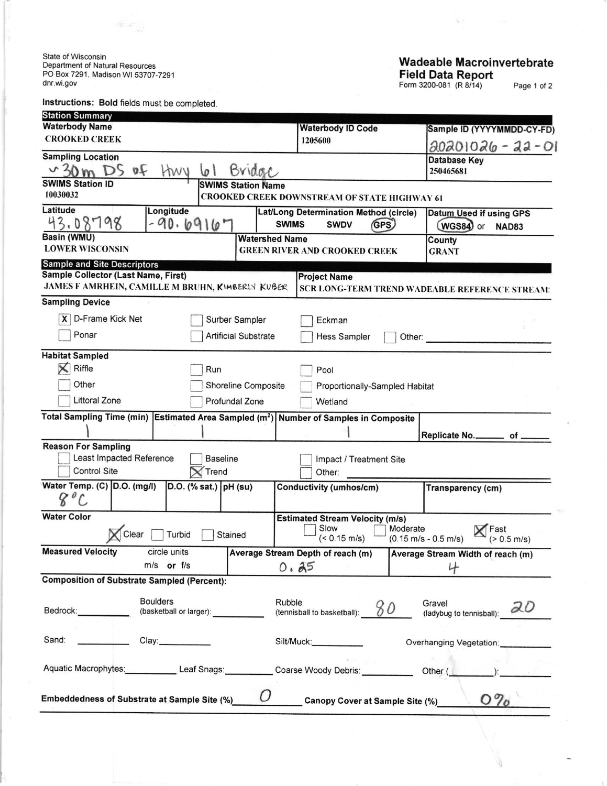State of Wisconsin<br>Department of Natural Resources<br>PO Box 7291, Madison WI 53707-7291<br>dnr.wi.gov

Instructions: Bold fields must be completed.

 $\label{eq:3} \begin{array}{l} \hat{\psi}^{\dagger}_{\mathbf{A}^{\prime}} \\ \cdots \\ \hat{\psi}^{\dagger}_{\mathbf{A}^{\prime}} \cdots \\ \cdots \\ \end{array}$ 

## **Wadeable Macroinvertebrate** Field Data Report

Page 1 of 2

| <b>Station Summary</b>                                                                            |                                            |                             |              |                                                              |          |                                                               |  |  |
|---------------------------------------------------------------------------------------------------|--------------------------------------------|-----------------------------|--------------|--------------------------------------------------------------|----------|---------------------------------------------------------------|--|--|
| <b>Waterbody Name</b>                                                                             |                                            |                             |              | <b>Waterbody ID Code</b>                                     |          | Sample ID (YYYYMMDD-CY-FD)                                    |  |  |
| <b>CROOKED CREEK</b>                                                                              |                                            |                             |              | 1205600                                                      |          | 20201026 - 22 - 01                                            |  |  |
| <b>Sampling Location</b>                                                                          |                                            |                             |              |                                                              |          | <b>Database Key</b>                                           |  |  |
| ø£<br>Bridge<br>HWY<br>ا ۱                                                                        |                                            |                             |              |                                                              |          | 250465681                                                     |  |  |
| <b>SWIMS Station ID</b><br>10030032                                                               |                                            | <b>SWIMS Station Name</b>   |              |                                                              |          |                                                               |  |  |
| Latitude                                                                                          |                                            |                             |              | <b>CROOKED CREEK DOWNSTREAM OF STATE HIGHWAY 61</b>          |          |                                                               |  |  |
| 43.08798                                                                                          | Longitude<br>$-90.6916$                    |                             | <b>SWIMS</b> | Lat/Long Determination Method (circle)<br><b>SWDV</b><br>GPS |          | Datum Used if using GPS<br>WGS84) or<br><b>NAD83</b>          |  |  |
| Basin (WMU)<br><b>Watershed Name</b>                                                              |                                            |                             |              |                                                              | County   |                                                               |  |  |
| <b>LOWER WISCONSIN</b>                                                                            |                                            |                             |              | <b>GREEN RIVER AND CROOKED CREEK</b>                         |          | <b>GRANT</b>                                                  |  |  |
| <b>Sample and Site Descriptors</b><br>Sample Collector (Last Name, First)                         |                                            |                             |              |                                                              |          |                                                               |  |  |
| JAMES F AMRHEIN, CAMILLE M BRUHN, KIMBERLY KUBER                                                  |                                            |                             |              | <b>Project Name</b>                                          |          | SCR LONG-TERM TREND WADEABLE REFERENCE STREAM:                |  |  |
| <b>Sampling Device</b>                                                                            |                                            |                             |              |                                                              |          |                                                               |  |  |
| D-Frame Kick Net<br>X                                                                             |                                            |                             |              |                                                              |          |                                                               |  |  |
|                                                                                                   |                                            | Surber Sampler              |              | Eckman                                                       |          |                                                               |  |  |
| Ponar                                                                                             |                                            | <b>Artificial Substrate</b> |              | <b>Hess Sampler</b>                                          | Other:   |                                                               |  |  |
| <b>Habitat Sampled</b>                                                                            |                                            |                             |              |                                                              |          |                                                               |  |  |
| $\times$<br>Riffle                                                                                |                                            | Run                         |              | Pool                                                         |          |                                                               |  |  |
| Other                                                                                             |                                            | Shoreline Composite         |              | Proportionally-Sampled Habitat                               |          |                                                               |  |  |
| <b>Littoral Zone</b>                                                                              |                                            | Profundal Zone              |              | Wetland                                                      |          |                                                               |  |  |
| Total Sampling Time (min) Estimated Area Sampled (m <sup>2</sup> ) Number of Samples in Composite |                                            |                             |              |                                                              |          |                                                               |  |  |
|                                                                                                   |                                            |                             |              |                                                              |          | Replicate No. _________ of _                                  |  |  |
| <b>Reason For Sampling</b>                                                                        |                                            |                             |              |                                                              |          |                                                               |  |  |
| Least Impacted Reference                                                                          |                                            | <b>Baseline</b>             |              | Impact / Treatment Site                                      |          |                                                               |  |  |
| <b>Control Site</b>                                                                               |                                            | Trend                       |              | Other:                                                       |          |                                                               |  |  |
| Water Temp. (C) D.O. (mg/l)                                                                       |                                            | $D.O.$ (% sat.) $pH$ (su)   |              | Conductivity (umhos/cm)                                      |          | Transparency (cm)                                             |  |  |
| <b>Water Color</b>                                                                                |                                            |                             |              | <b>Estimated Stream Velocity (m/s)</b>                       |          |                                                               |  |  |
| Clear                                                                                             | Turbid                                     | Stained                     |              | Slow<br>$(< 0.15$ m/s)                                       | Moderate | Fast<br>$(0.15 \text{ m/s} - 0.5 \text{ m/s})$<br>(> 0.5 m/s) |  |  |
| <b>Measured Velocity</b>                                                                          | circle units                               |                             |              | <b>Average Stream Depth of reach (m)</b>                     |          | <b>Average Stream Width of reach (m)</b>                      |  |  |
|                                                                                                   | $m/s$ or $f/s$                             |                             | 0.25         |                                                              |          | 4                                                             |  |  |
| <b>Composition of Substrate Sampled (Percent):</b>                                                |                                            |                             |              |                                                              |          |                                                               |  |  |
| Bedrock:                                                                                          | <b>Boulders</b><br>(basketball or larger): |                             | Rubble       | (tennisball to basketball):                                  | 80       | Gravel<br>20<br>(ladybug to tennisball):                      |  |  |
|                                                                                                   |                                            |                             |              |                                                              |          |                                                               |  |  |
| Sand:                                                                                             | Clay: ____________                         |                             |              | Silt/Muck:                                                   |          | Overhanging Vegetation:                                       |  |  |
| Aquatic Macrophytes: Leaf Snags: Coarse Woody Debris:                                             |                                            |                             |              |                                                              |          | Other (                                                       |  |  |
| Embeddedness of Substrate at Sample Site (%)                                                      |                                            |                             |              | <b>Canopy Cover at Sample Site (%)</b>                       |          | $O\%$                                                         |  |  |